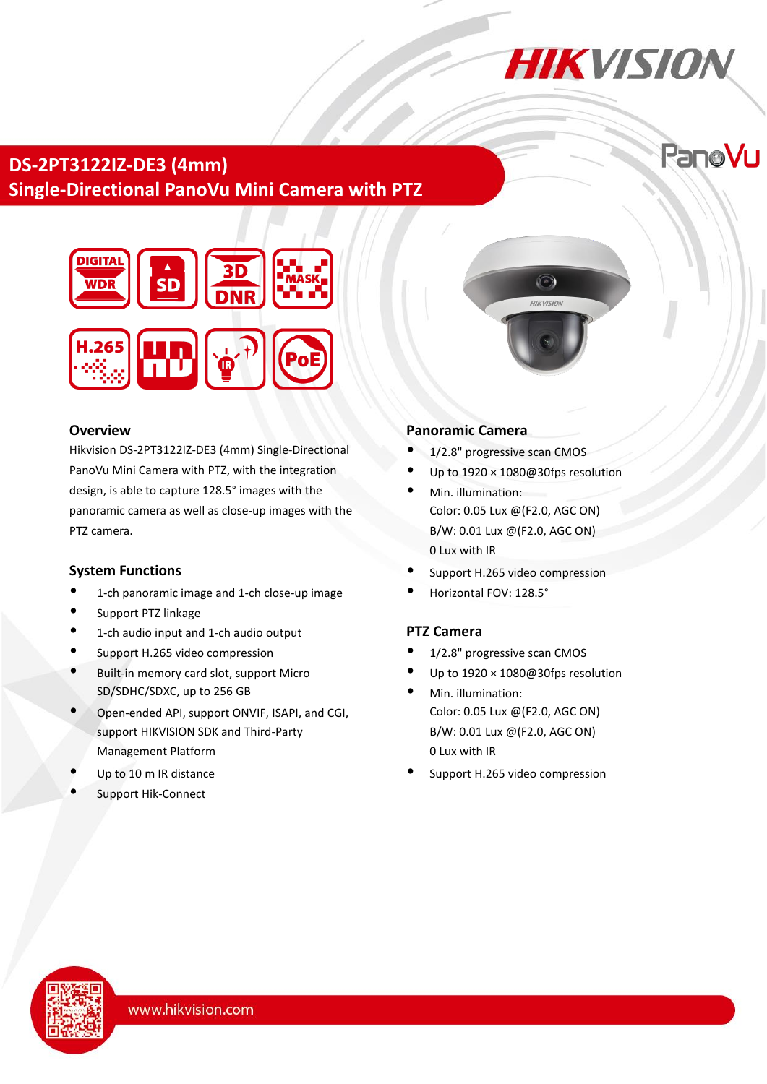# **HIKVISION**

PanoVu

# **DS-2PT3122IZ-DE3 (4mm) Single-Directional PanoVu Mini Camera with PTZ**



#### **Overview**

Hikvision DS-2PT3122IZ-DE3 (4mm) Single-Directional PanoVu Mini Camera with PTZ, with the integration design, is able to capture 128.5°images with the panoramic camera as well as close-up images with the PTZ camera.

### **System Functions**

- 1-ch panoramic image and 1-ch close-up image
- Support PTZ linkage
- 1-ch audio input and 1-ch audio output
- Support H.265 video compression
- Built-in memory card slot, support Micro SD/SDHC/SDXC, up to 256 GB
- Open-ended API, support ONVIF, ISAPI, and CGI, support HIKVISION SDK and Third-Party Management Platform
- Up to 10 m IR distance
- Support Hik-Connect

## **Panoramic Camera**

- 1/2.8" progressive scan CMOS
- Up to 1920 × 1080@30fps resolution

 $\odot$ 

- Min. illumination: Color: 0.05 Lux @(F2.0, AGC ON) B/W: 0.01 Lux @(F2.0, AGC ON) 0 Lux with IR
- Support H.265 video compression
- Horizontal FOV: 128.5°

# **PTZ Camera**

- 1/2.8" progressive scan CMOS
- Up to 1920 × 1080@30fps resolution
- Min. illumination: Color: 0.05 Lux @(F2.0, AGC ON) B/W: 0.01 Lux @(F2.0, AGC ON) 0 Lux with IR
- Support H.265 video compression

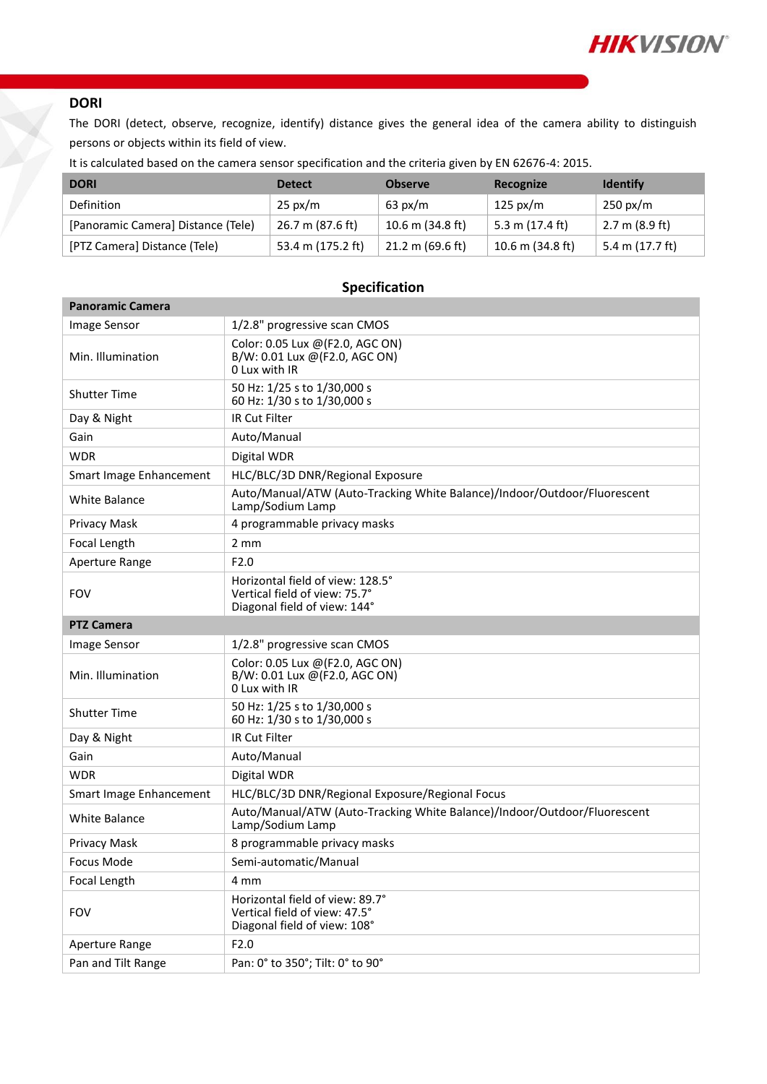

## **DORI**

The DORI (detect, observe, recognize, identify) distance gives the general idea of the camera ability to distinguish persons or objects within its field of view.

It is calculated based on the camera sensor specification and the criteria given by EN 62676-4: 2015.

| <b>DORI</b>                        | <b>Detect</b>     | <b>Observe</b>             | Recognize        | <b>Identify</b>    |
|------------------------------------|-------------------|----------------------------|------------------|--------------------|
| Definition                         | $25 \text{ px/m}$ | $63 \text{ px/m}$          | 125 px/m         | $250 \text{ px/m}$ |
| [Panoramic Camera] Distance (Tele) | 26.7 m (87.6 ft)  | 10.6 m (34.8 ft)           | 5.3 m (17.4 ft)  | 2.7 m (8.9 ft)     |
| [PTZ Camera] Distance (Tele)       | 53.4 m (175.2 ft) | $21.2 \text{ m}$ (69.6 ft) | 10.6 m (34.8 ft) | 5.4 m (17.7 ft)    |

| <b>Panoramic Camera</b> |                                                                                                   |
|-------------------------|---------------------------------------------------------------------------------------------------|
| Image Sensor            | 1/2.8" progressive scan CMOS                                                                      |
| Min. Illumination       | Color: 0.05 Lux @(F2.0, AGC ON)<br>B/W: 0.01 Lux @(F2.0, AGC ON)<br>0 Lux with IR                 |
| <b>Shutter Time</b>     | 50 Hz: 1/25 s to 1/30,000 s<br>60 Hz: 1/30 s to 1/30,000 s                                        |
| Day & Night             | IR Cut Filter                                                                                     |
| Gain                    | Auto/Manual                                                                                       |
| <b>WDR</b>              | Digital WDR                                                                                       |
| Smart Image Enhancement | HLC/BLC/3D DNR/Regional Exposure                                                                  |
| <b>White Balance</b>    | Auto/Manual/ATW (Auto-Tracking White Balance)/Indoor/Outdoor/Fluorescent<br>Lamp/Sodium Lamp      |
| Privacy Mask            | 4 programmable privacy masks                                                                      |
| Focal Length            | $2 \, \text{mm}$                                                                                  |
| Aperture Range          | F <sub>2.0</sub>                                                                                  |
| <b>FOV</b>              | Horizontal field of view: 128.5°<br>Vertical field of view: 75.7°<br>Diagonal field of view: 144° |
| <b>PTZ Camera</b>       |                                                                                                   |
| Image Sensor            | 1/2.8" progressive scan CMOS                                                                      |
| Min. Illumination       | Color: 0.05 Lux @(F2.0, AGC ON)<br>B/W: 0.01 Lux @(F2.0, AGC ON)<br>0 Lux with IR                 |
| <b>Shutter Time</b>     | 50 Hz: 1/25 s to 1/30,000 s<br>60 Hz: 1/30 s to 1/30,000 s                                        |
| Day & Night             | <b>IR Cut Filter</b>                                                                              |
| Gain                    | Auto/Manual                                                                                       |
| <b>WDR</b>              | Digital WDR                                                                                       |
| Smart Image Enhancement | HLC/BLC/3D DNR/Regional Exposure/Regional Focus                                                   |
| <b>White Balance</b>    | Auto/Manual/ATW (Auto-Tracking White Balance)/Indoor/Outdoor/Fluorescent<br>Lamp/Sodium Lamp      |
| Privacy Mask            | 8 programmable privacy masks                                                                      |
| Focus Mode              | Semi-automatic/Manual                                                                             |
| Focal Length            | 4 mm                                                                                              |
| <b>FOV</b>              | Horizontal field of view: 89.7°<br>Vertical field of view: 47.5°<br>Diagonal field of view: 108°  |
| Aperture Range          | F2.0                                                                                              |
| Pan and Tilt Range      | Pan: 0° to 350°; Tilt: 0° to 90°                                                                  |

#### **Specification**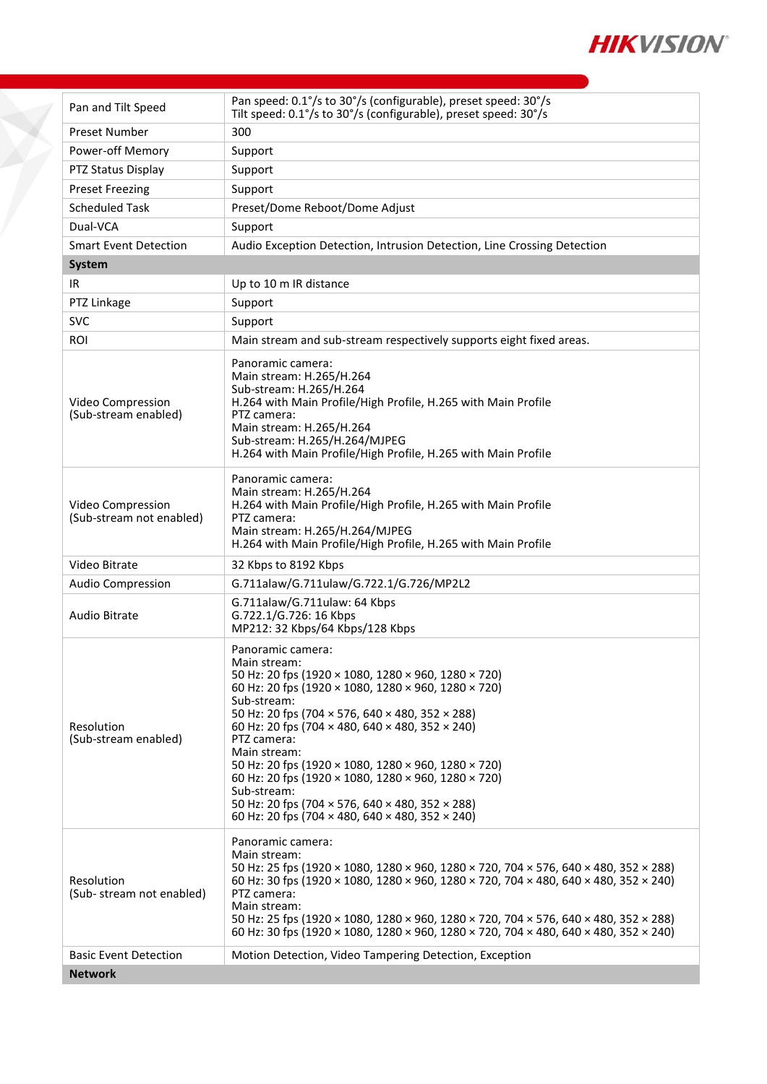

| Pan and Tilt Speed                            | Pan speed: 0.1°/s to 30°/s (configurable), preset speed: 30°/s<br>Tilt speed: 0.1°/s to 30°/s (configurable), preset speed: 30°/s                                                                                                                                                                                                                                                                                                                                                                                                                                                |
|-----------------------------------------------|----------------------------------------------------------------------------------------------------------------------------------------------------------------------------------------------------------------------------------------------------------------------------------------------------------------------------------------------------------------------------------------------------------------------------------------------------------------------------------------------------------------------------------------------------------------------------------|
| Preset Number                                 | 300                                                                                                                                                                                                                                                                                                                                                                                                                                                                                                                                                                              |
| Power-off Memory                              | Support                                                                                                                                                                                                                                                                                                                                                                                                                                                                                                                                                                          |
| PTZ Status Display                            | Support                                                                                                                                                                                                                                                                                                                                                                                                                                                                                                                                                                          |
| <b>Preset Freezing</b>                        | Support                                                                                                                                                                                                                                                                                                                                                                                                                                                                                                                                                                          |
| <b>Scheduled Task</b>                         | Preset/Dome Reboot/Dome Adjust                                                                                                                                                                                                                                                                                                                                                                                                                                                                                                                                                   |
| Dual-VCA                                      | Support                                                                                                                                                                                                                                                                                                                                                                                                                                                                                                                                                                          |
| <b>Smart Event Detection</b>                  | Audio Exception Detection, Intrusion Detection, Line Crossing Detection                                                                                                                                                                                                                                                                                                                                                                                                                                                                                                          |
| System                                        |                                                                                                                                                                                                                                                                                                                                                                                                                                                                                                                                                                                  |
| IR                                            | Up to 10 m IR distance                                                                                                                                                                                                                                                                                                                                                                                                                                                                                                                                                           |
| PTZ Linkage                                   | Support                                                                                                                                                                                                                                                                                                                                                                                                                                                                                                                                                                          |
| <b>SVC</b>                                    | Support                                                                                                                                                                                                                                                                                                                                                                                                                                                                                                                                                                          |
| ROI                                           | Main stream and sub-stream respectively supports eight fixed areas.                                                                                                                                                                                                                                                                                                                                                                                                                                                                                                              |
| Video Compression<br>(Sub-stream enabled)     | Panoramic camera:<br>Main stream: H.265/H.264<br>Sub-stream: H.265/H.264<br>H.264 with Main Profile/High Profile, H.265 with Main Profile<br>PTZ camera:<br>Main stream: H.265/H.264<br>Sub-stream: H.265/H.264/MJPEG<br>H.264 with Main Profile/High Profile, H.265 with Main Profile                                                                                                                                                                                                                                                                                           |
| Video Compression<br>(Sub-stream not enabled) | Panoramic camera:<br>Main stream: H.265/H.264<br>H.264 with Main Profile/High Profile, H.265 with Main Profile<br>PTZ camera:<br>Main stream: H.265/H.264/MJPEG<br>H.264 with Main Profile/High Profile, H.265 with Main Profile                                                                                                                                                                                                                                                                                                                                                 |
| Video Bitrate                                 | 32 Kbps to 8192 Kbps                                                                                                                                                                                                                                                                                                                                                                                                                                                                                                                                                             |
| <b>Audio Compression</b>                      | G.711alaw/G.711ulaw/G.722.1/G.726/MP2L2                                                                                                                                                                                                                                                                                                                                                                                                                                                                                                                                          |
| Audio Bitrate                                 | G.711alaw/G.711ulaw: 64 Kbps<br>G.722.1/G.726: 16 Kbps<br>MP212: 32 Kbps/64 Kbps/128 Kbps                                                                                                                                                                                                                                                                                                                                                                                                                                                                                        |
| Resolution<br>(Sub-stream enabled)            | Panoramic camera:<br>Main stream:<br>50 Hz: 20 fps (1920 × 1080, 1280 × 960, 1280 × 720)<br>60 Hz: 20 fps (1920 × 1080, 1280 × 960, 1280 × 720)<br>Sub-stream:<br>50 Hz: 20 fps (704 $\times$ 576, 640 $\times$ 480, 352 $\times$ 288)<br>60 Hz: 20 fps (704 × 480, 640 × 480, 352 × 240)<br>PTZ camera:<br>Main stream:<br>50 Hz: 20 fps (1920 $\times$ 1080, 1280 $\times$ 960, 1280 $\times$ 720)<br>60 Hz: 20 fps (1920 × 1080, 1280 × 960, 1280 × 720)<br>Sub-stream:<br>50 Hz: 20 fps (704 × 576, 640 × 480, 352 × 288)<br>60 Hz: 20 fps (704 × 480, 640 × 480, 352 × 240) |
| Resolution<br>(Sub-stream not enabled)        | Panoramic camera:<br>Main stream:<br>50 Hz: 25 fps (1920 × 1080, 1280 × 960, 1280 × 720, 704 × 576, 640 × 480, 352 × 288)<br>60 Hz: 30 fps (1920 × 1080, 1280 × 960, 1280 × 720, 704 × 480, 640 × 480, 352 × 240)<br>PTZ camera:<br>Main stream:<br>50 Hz: 25 fps (1920 × 1080, 1280 × 960, 1280 × 720, 704 × 576, 640 × 480, 352 × 288)<br>60 Hz: 30 fps (1920 × 1080, 1280 × 960, 1280 × 720, 704 × 480, 640 × 480, 352 × 240)                                                                                                                                                 |
| <b>Basic Event Detection</b>                  | Motion Detection, Video Tampering Detection, Exception                                                                                                                                                                                                                                                                                                                                                                                                                                                                                                                           |
| <b>Network</b>                                |                                                                                                                                                                                                                                                                                                                                                                                                                                                                                                                                                                                  |

 $\cancel{\times}$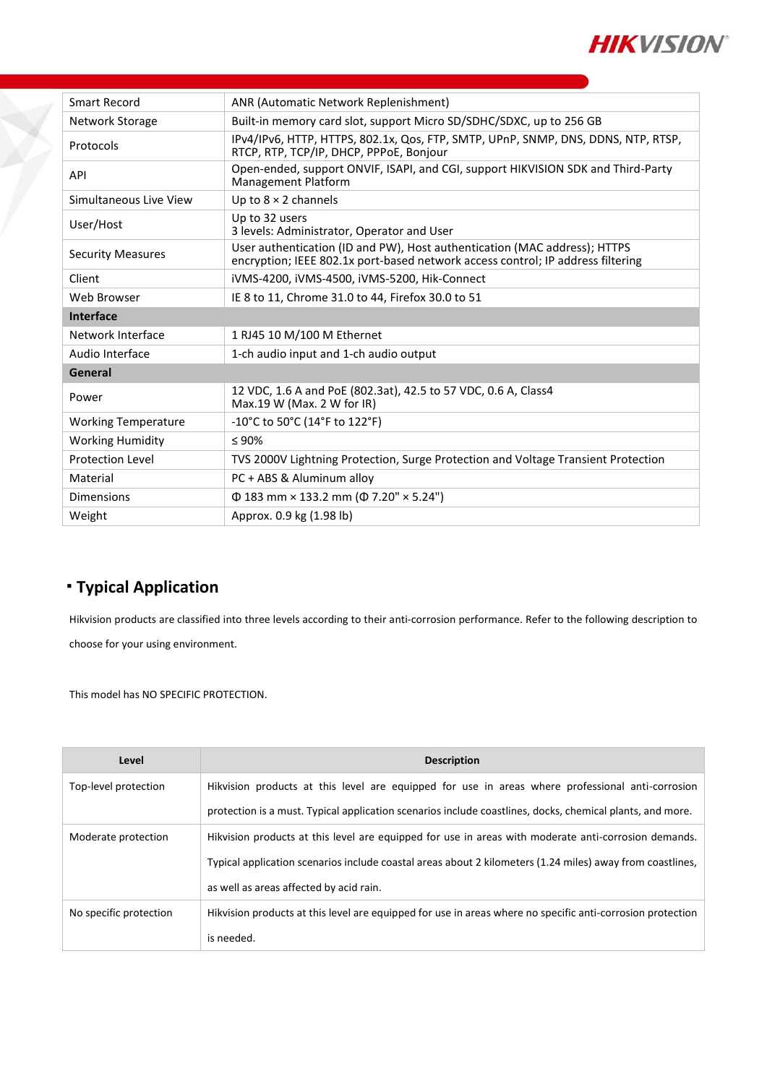

| Smart Record               | ANR (Automatic Network Replenishment)                                                                                                                        |
|----------------------------|--------------------------------------------------------------------------------------------------------------------------------------------------------------|
| Network Storage            | Built-in memory card slot, support Micro SD/SDHC/SDXC, up to 256 GB                                                                                          |
| Protocols                  | IPv4/IPv6, HTTP, HTTPS, 802.1x, Qos, FTP, SMTP, UPnP, SNMP, DNS, DDNS, NTP, RTSP,<br>RTCP, RTP, TCP/IP, DHCP, PPPoE, Bonjour                                 |
| <b>API</b>                 | Open-ended, support ONVIF, ISAPI, and CGI, support HIKVISION SDK and Third-Party<br><b>Management Platform</b>                                               |
| Simultaneous Live View     | Up to $8 \times 2$ channels                                                                                                                                  |
| User/Host                  | Up to 32 users<br>3 levels: Administrator, Operator and User                                                                                                 |
| <b>Security Measures</b>   | User authentication (ID and PW), Host authentication (MAC address); HTTPS<br>encryption; IEEE 802.1x port-based network access control; IP address filtering |
| Client                     | iVMS-4200, iVMS-4500, iVMS-5200, Hik-Connect                                                                                                                 |
| Web Browser                | IE 8 to 11, Chrome 31.0 to 44, Firefox 30.0 to 51                                                                                                            |
| Interface                  |                                                                                                                                                              |
| Network Interface          | 1 RJ45 10 M/100 M Ethernet                                                                                                                                   |
| Audio Interface            | 1-ch audio input and 1-ch audio output                                                                                                                       |
| General                    |                                                                                                                                                              |
| Power                      | 12 VDC, 1.6 A and PoE (802.3at), 42.5 to 57 VDC, 0.6 A, Class4<br>Max.19 W (Max. 2 W for IR)                                                                 |
| <b>Working Temperature</b> | $-10^{\circ}$ C to 50 $^{\circ}$ C (14 $^{\circ}$ F to 122 $^{\circ}$ F)                                                                                     |
| <b>Working Humidity</b>    | $\leq 90\%$                                                                                                                                                  |
| <b>Protection Level</b>    | TVS 2000V Lightning Protection, Surge Protection and Voltage Transient Protection                                                                            |
| Material                   | PC + ABS & Aluminum alloy                                                                                                                                    |
| Dimensions                 | $\Phi$ 183 mm × 133.2 mm ( $\Phi$ 7.20" × 5.24")                                                                                                             |
| Weight                     | Approx. 0.9 kg (1.98 lb)                                                                                                                                     |

# **Typical Application**

Hikvision products are classified into three levels according to their anti-corrosion performance. Refer to the following description to choose for your using environment.

This model has NO SPECIFIC PROTECTION.

| Level                  | <b>Description</b>                                                                                         |
|------------------------|------------------------------------------------------------------------------------------------------------|
| Top-level protection   | Hikvision products at this level are equipped for use in areas where professional anti-corrosion           |
|                        | protection is a must. Typical application scenarios include coastlines, docks, chemical plants, and more.  |
| Moderate protection    | Hikvision products at this level are equipped for use in areas with moderate anti-corrosion demands.       |
|                        | Typical application scenarios include coastal areas about 2 kilometers (1.24 miles) away from coastlines,  |
|                        | as well as areas affected by acid rain.                                                                    |
| No specific protection | Hikvision products at this level are equipped for use in areas where no specific anti-corrosion protection |
|                        | is needed.                                                                                                 |